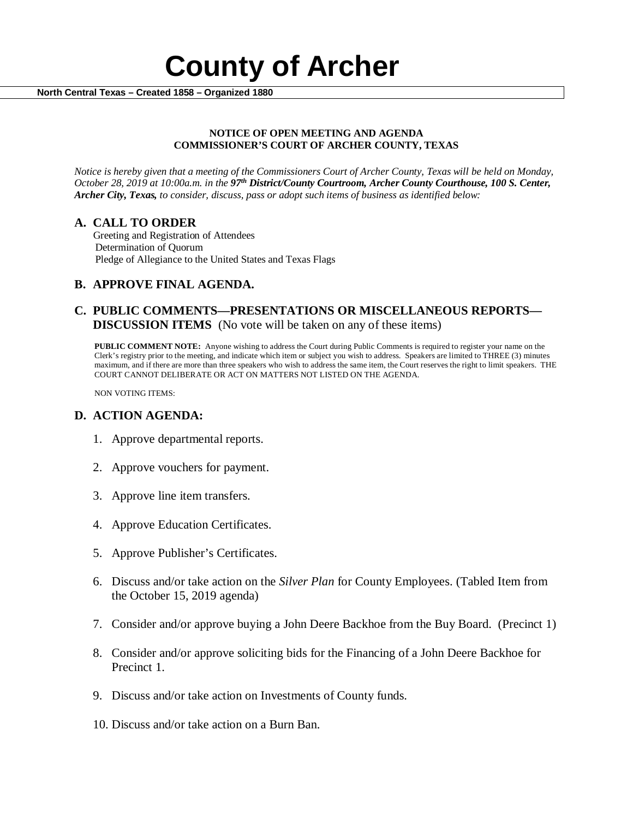

#### **NOTICE OF OPEN MEETING AND AGENDA COMMISSIONER'S COURT OF ARCHER COUNTY, TEXAS**

*Notice is hereby given that a meeting of the Commissioners Court of Archer County, Texas will be held on Monday, October 28, 2019 at 10:00a.m. in the 97th District/County Courtroom, Archer County Courthouse, 100 S. Center, Archer City, Texas, to consider, discuss, pass or adopt such items of business as identified below:*

**A. CALL TO ORDER** Greeting and Registration of Attendees Determination of Quorum Pledge of Allegiance to the United States and Texas Flags

# **B. APPROVE FINAL AGENDA.**

# **C. PUBLIC COMMENTS—PRESENTATIONS OR MISCELLANEOUS REPORTS— DISCUSSION ITEMS** (No vote will be taken on any of these items)

**PUBLIC COMMENT NOTE:** Anyone wishing to address the Court during Public Comments is required to register your name on the Clerk's registry prior to the meeting, and indicate which item or subject you wish to address. Speakers are limited to THREE (3) minutes maximum, and if there are more than three speakers who wish to address the same item, the Court reserves the right to limit speakers. THE COURT CANNOT DELIBERATE OR ACT ON MATTERS NOT LISTED ON THE AGENDA.

NON VOTING ITEMS:

### **D. ACTION AGENDA:**

- 1. Approve departmental reports.
- 2. Approve vouchers for payment.
- 3. Approve line item transfers.
- 4. Approve Education Certificates.
- 5. Approve Publisher's Certificates.
- 6. Discuss and/or take action on the *Silver Plan* for County Employees. (Tabled Item from the October 15, 2019 agenda)
- 7. Consider and/or approve buying a John Deere Backhoe from the Buy Board. (Precinct 1)
- 8. Consider and/or approve soliciting bids for the Financing of a John Deere Backhoe for Precinct 1.
- 9. Discuss and/or take action on Investments of County funds.
- 10. Discuss and/or take action on a Burn Ban.